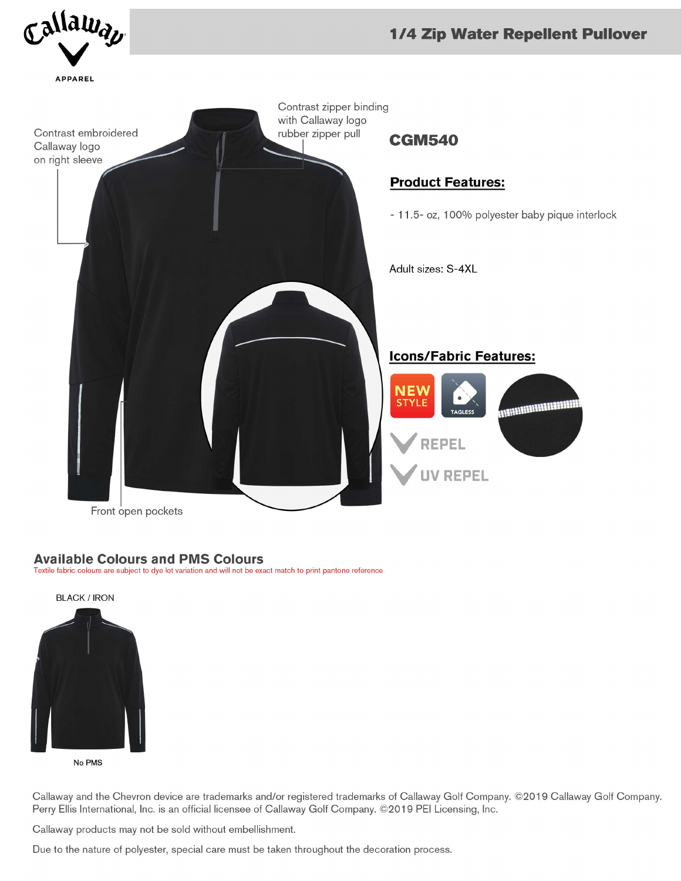

## **Available Colours and PMS Colours**

Textile fabric colours are subject to dye lot variation and will not be exact match to print pantone reference



No PMS

Callaway and the Chevron device are trademarks and/or registered trademarks of Callaway Golf Company. ©2019 Callaway Golf Company. Perry Ellis International, Inc. is an official licensee of Callaway Golf Company. ©2019 PEI Licensing, Inc.

Callaway products may not be sold without embellishment.

Due to the nature of polyester, special care must be taken throughout the decoration process.